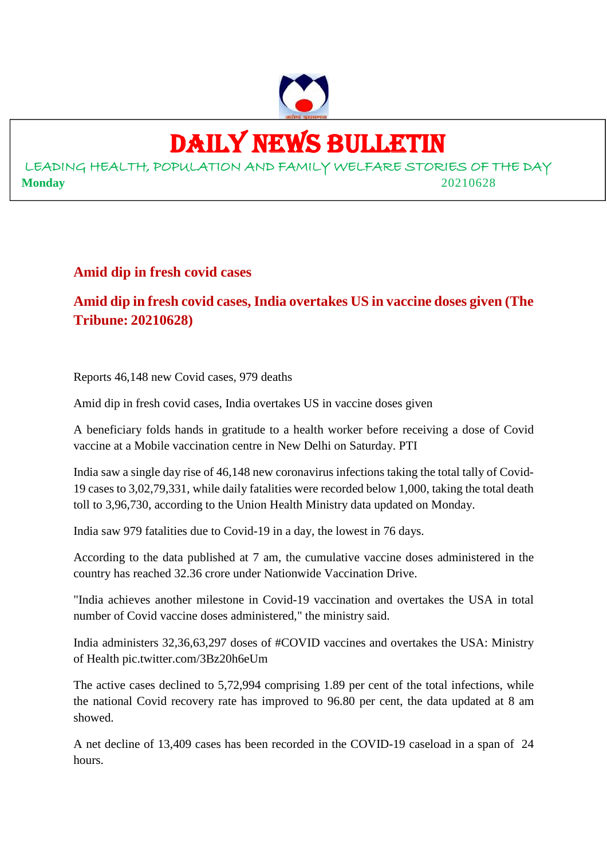

# DAILY NEWS BULLETIN

LEADING HEALTH, POPULATION AND FAMILY WELFARE STORIES OF THE DAY **Monday** 20210628

#### **Amid dip in fresh covid cases**

**Amid dip in fresh covid cases, India overtakes US in vaccine doses given (The Tribune: 20210628)**

Reports 46,148 new Covid cases, 979 deaths

Amid dip in fresh covid cases, India overtakes US in vaccine doses given

A beneficiary folds hands in gratitude to a health worker before receiving a dose of Covid vaccine at a Mobile vaccination centre in New Delhi on Saturday. PTI

India saw a single day rise of 46,148 new coronavirus infections taking the total tally of Covid-19 cases to 3,02,79,331, while daily fatalities were recorded below 1,000, taking the total death toll to 3,96,730, according to the Union Health Ministry data updated on Monday.

India saw 979 fatalities due to Covid-19 in a day, the lowest in 76 days.

According to the data published at 7 am, the cumulative vaccine doses administered in the country has reached 32.36 crore under Nationwide Vaccination Drive.

"India achieves another milestone in Covid-19 vaccination and overtakes the USA in total number of Covid vaccine doses administered," the ministry said.

India administers 32,36,63,297 doses of #COVID vaccines and overtakes the USA: Ministry of Health pic.twitter.com/3Bz20h6eUm

The active cases declined to 5,72,994 comprising 1.89 per cent of the total infections, while the national Covid recovery rate has improved to 96.80 per cent, the data updated at 8 am showed.

A net decline of 13,409 cases has been recorded in the COVID-19 caseload in a span of 24 hours.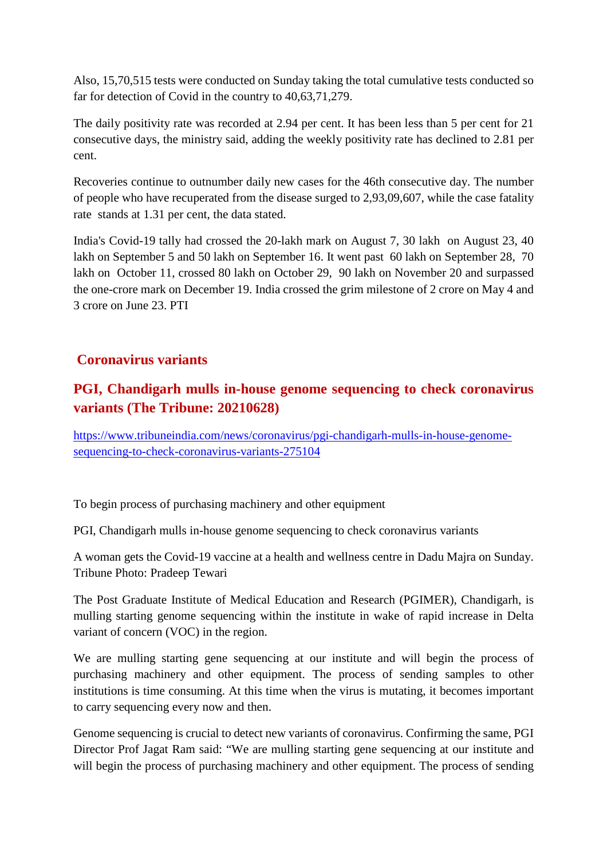Also, 15,70,515 tests were conducted on Sunday taking the total cumulative tests conducted so far for detection of Covid in the country to 40,63,71,279.

The daily positivity rate was recorded at 2.94 per cent. It has been less than 5 per cent for 21 consecutive days, the ministry said, adding the weekly positivity rate has declined to 2.81 per cent.

Recoveries continue to outnumber daily new cases for the 46th consecutive day. The number of people who have recuperated from the disease surged to 2,93,09,607, while the case fatality rate stands at 1.31 per cent, the data stated.

India's Covid-19 tally had crossed the 20-lakh mark on August 7, 30 lakh on August 23, 40 lakh on September 5 and 50 lakh on September 16. It went past 60 lakh on September 28, 70 lakh on October 11, crossed 80 lakh on October 29, 90 lakh on November 20 and surpassed the one-crore mark on December 19. India crossed the grim milestone of 2 crore on May 4 and 3 crore on June 23. PTI

#### **Coronavirus variants**

#### **PGI, Chandigarh mulls in-house genome sequencing to check coronavirus variants (The Tribune: 20210628)**

https://www.tribuneindia.com/news/coronavirus/pgi-chandigarh-mulls-in-house-genomesequencing-to-check-coronavirus-variants-275104

To begin process of purchasing machinery and other equipment

PGI, Chandigarh mulls in-house genome sequencing to check coronavirus variants

A woman gets the Covid-19 vaccine at a health and wellness centre in Dadu Majra on Sunday. Tribune Photo: Pradeep Tewari

The Post Graduate Institute of Medical Education and Research (PGIMER), Chandigarh, is mulling starting genome sequencing within the institute in wake of rapid increase in Delta variant of concern (VOC) in the region.

We are mulling starting gene sequencing at our institute and will begin the process of purchasing machinery and other equipment. The process of sending samples to other institutions is time consuming. At this time when the virus is mutating, it becomes important to carry sequencing every now and then.

Genome sequencing is crucial to detect new variants of coronavirus. Confirming the same, PGI Director Prof Jagat Ram said: "We are mulling starting gene sequencing at our institute and will begin the process of purchasing machinery and other equipment. The process of sending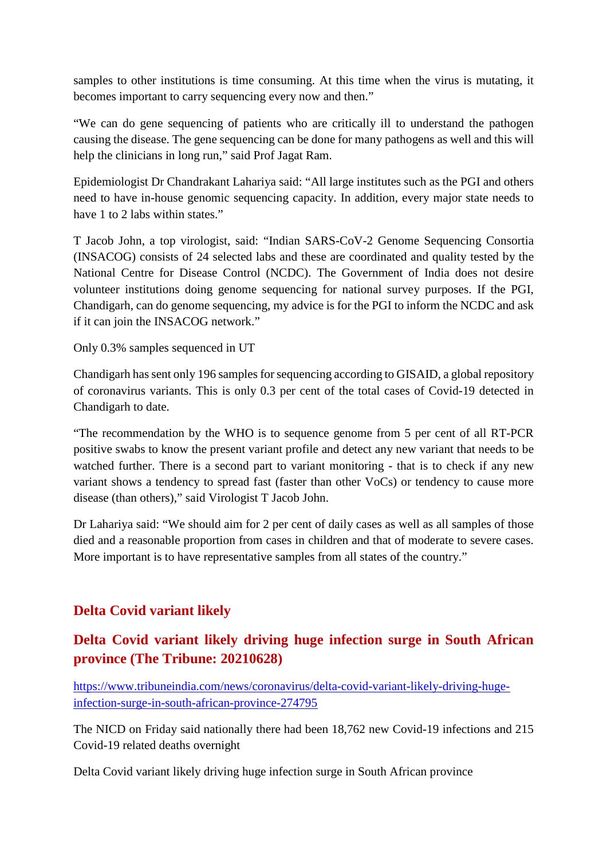samples to other institutions is time consuming. At this time when the virus is mutating, it becomes important to carry sequencing every now and then."

"We can do gene sequencing of patients who are critically ill to understand the pathogen causing the disease. The gene sequencing can be done for many pathogens as well and this will help the clinicians in long run," said Prof Jagat Ram.

Epidemiologist Dr Chandrakant Lahariya said: "All large institutes such as the PGI and others need to have in-house genomic sequencing capacity. In addition, every major state needs to have 1 to 2 labs within states."

T Jacob John, a top virologist, said: "Indian SARS-CoV-2 Genome Sequencing Consortia (INSACOG) consists of 24 selected labs and these are coordinated and quality tested by the National Centre for Disease Control (NCDC). The Government of India does not desire volunteer institutions doing genome sequencing for national survey purposes. If the PGI, Chandigarh, can do genome sequencing, my advice is for the PGI to inform the NCDC and ask if it can join the INSACOG network."

Only 0.3% samples sequenced in UT

Chandigarh has sent only 196 samples for sequencing according to GISAID, a global repository of coronavirus variants. This is only 0.3 per cent of the total cases of Covid-19 detected in Chandigarh to date.

"The recommendation by the WHO is to sequence genome from 5 per cent of all RT-PCR positive swabs to know the present variant profile and detect any new variant that needs to be watched further. There is a second part to variant monitoring - that is to check if any new variant shows a tendency to spread fast (faster than other VoCs) or tendency to cause more disease (than others)," said Virologist T Jacob John.

Dr Lahariya said: "We should aim for 2 per cent of daily cases as well as all samples of those died and a reasonable proportion from cases in children and that of moderate to severe cases. More important is to have representative samples from all states of the country."

#### **Delta Covid variant likely**

#### **Delta Covid variant likely driving huge infection surge in South African province (The Tribune: 20210628)**

https://www.tribuneindia.com/news/coronavirus/delta-covid-variant-likely-driving-hugeinfection-surge-in-south-african-province-274795

The NICD on Friday said nationally there had been 18,762 new Covid-19 infections and 215 Covid-19 related deaths overnight

Delta Covid variant likely driving huge infection surge in South African province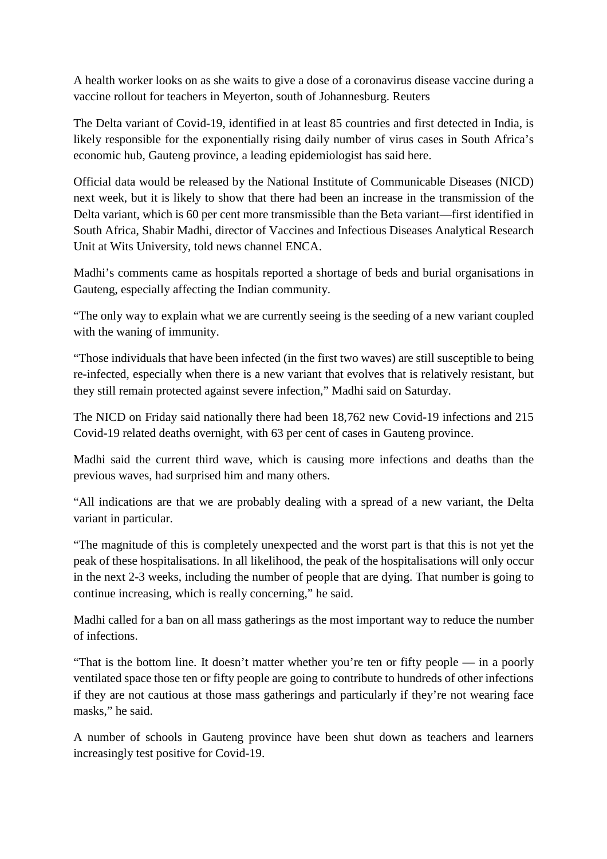A health worker looks on as she waits to give a dose of a coronavirus disease vaccine during a vaccine rollout for teachers in Meyerton, south of Johannesburg. Reuters

The Delta variant of Covid-19, identified in at least 85 countries and first detected in India, is likely responsible for the exponentially rising daily number of virus cases in South Africa's economic hub, Gauteng province, a leading epidemiologist has said here.

Official data would be released by the National Institute of Communicable Diseases (NICD) next week, but it is likely to show that there had been an increase in the transmission of the Delta variant, which is 60 per cent more transmissible than the Beta variant—first identified in South Africa, Shabir Madhi, director of Vaccines and Infectious Diseases Analytical Research Unit at Wits University, told news channel ENCA.

Madhi's comments came as hospitals reported a shortage of beds and burial organisations in Gauteng, especially affecting the Indian community.

"The only way to explain what we are currently seeing is the seeding of a new variant coupled with the waning of immunity.

"Those individuals that have been infected (in the first two waves) are still susceptible to being re-infected, especially when there is a new variant that evolves that is relatively resistant, but they still remain protected against severe infection," Madhi said on Saturday.

The NICD on Friday said nationally there had been 18,762 new Covid-19 infections and 215 Covid-19 related deaths overnight, with 63 per cent of cases in Gauteng province.

Madhi said the current third wave, which is causing more infections and deaths than the previous waves, had surprised him and many others.

"All indications are that we are probably dealing with a spread of a new variant, the Delta variant in particular.

"The magnitude of this is completely unexpected and the worst part is that this is not yet the peak of these hospitalisations. In all likelihood, the peak of the hospitalisations will only occur in the next 2-3 weeks, including the number of people that are dying. That number is going to continue increasing, which is really concerning," he said.

Madhi called for a ban on all mass gatherings as the most important way to reduce the number of infections.

"That is the bottom line. It doesn't matter whether you're ten or fifty people — in a poorly ventilated space those ten or fifty people are going to contribute to hundreds of other infections if they are not cautious at those mass gatherings and particularly if they're not wearing face masks," he said.

A number of schools in Gauteng province have been shut down as teachers and learners increasingly test positive for Covid-19.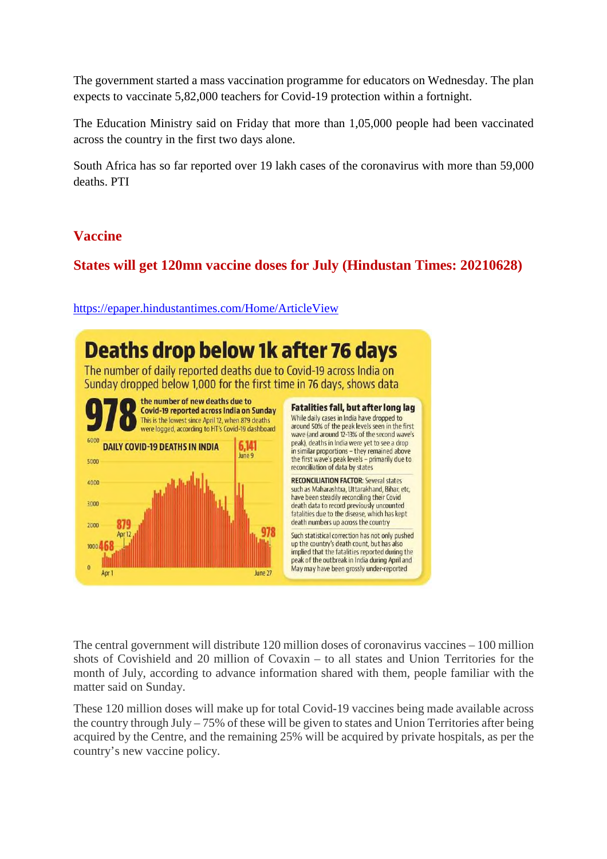The government started a mass vaccination programme for educators on Wednesday. The plan expects to vaccinate 5,82,000 teachers for Covid-19 protection within a fortnight.

The Education Ministry said on Friday that more than 1,05,000 people had been vaccinated across the country in the first two days alone.

South Africa has so far reported over 19 lakh cases of the coronavirus with more than 59,000 deaths. PTI

#### **Vaccine**

#### **States will get 120mn vaccine doses for July (Hindustan Times: 20210628)**

https://epaper.hindustantimes.com/Home/ArticleView



The central government will distribute 120 million doses of coronavirus vaccines – 100 million shots of Covishield and 20 million of Covaxin – to all states and Union Territories for the month of July, according to advance information shared with them, people familiar with the matter said on Sunday.

These 120 million doses will make up for total Covid-19 vaccines being made available across the country through July – 75% of these will be given to states and Union Territories after being acquired by the Centre, and the remaining 25% will be acquired by private hospitals, as per the country's new vaccine policy.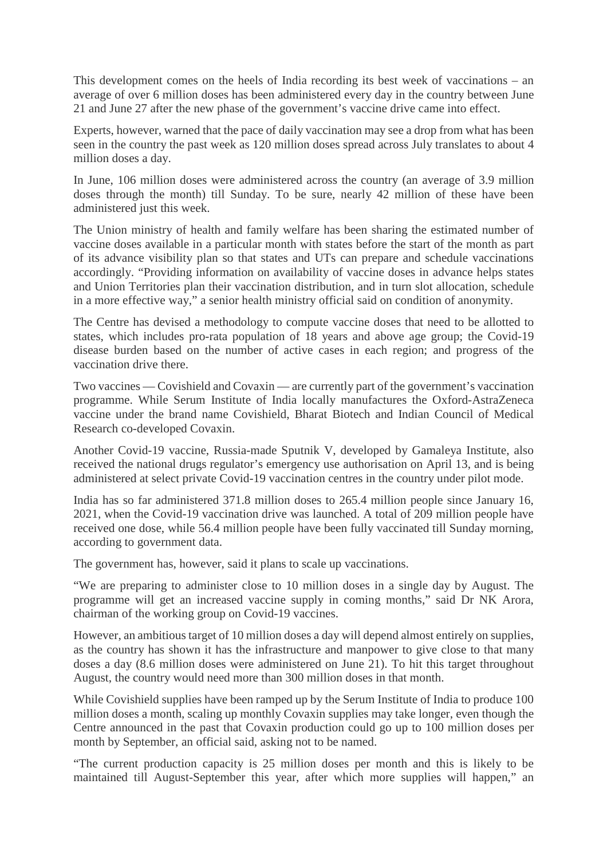This development comes on the heels of India recording its best week of vaccinations – an average of over 6 million doses has been administered every day in the country between June 21 and June 27 after the new phase of the government's vaccine drive came into effect.

Experts, however, warned that the pace of daily vaccination may see a drop from what has been seen in the country the past week as 120 million doses spread across July translates to about 4 million doses a day.

In June, 106 million doses were administered across the country (an average of 3.9 million doses through the month) till Sunday. To be sure, nearly 42 million of these have been administered just this week.

The Union ministry of health and family welfare has been sharing the estimated number of vaccine doses available in a particular month with states before the start of the month as part of its advance visibility plan so that states and UTs can prepare and schedule vaccinations accordingly. "Providing information on availability of vaccine doses in advance helps states and Union Territories plan their vaccination distribution, and in turn slot allocation, schedule in a more effective way," a senior health ministry official said on condition of anonymity.

The Centre has devised a methodology to compute vaccine doses that need to be allotted to states, which includes pro-rata population of 18 years and above age group; the Covid-19 disease burden based on the number of active cases in each region; and progress of the vaccination drive there.

Two vaccines — Covishield and Covaxin — are currently part of the government's vaccination programme. While Serum Institute of India locally manufactures the Oxford-AstraZeneca vaccine under the brand name Covishield, Bharat Biotech and Indian Council of Medical Research co-developed Covaxin.

Another Covid-19 vaccine, Russia-made Sputnik V, developed by Gamaleya Institute, also received the national drugs regulator's emergency use authorisation on April 13, and is being administered at select private Covid-19 vaccination centres in the country under pilot mode.

India has so far administered 371.8 million doses to 265.4 million people since January 16, 2021, when the Covid-19 vaccination drive was launched. A total of 209 million people have received one dose, while 56.4 million people have been fully vaccinated till Sunday morning, according to government data.

The government has, however, said it plans to scale up vaccinations.

"We are preparing to administer close to 10 million doses in a single day by August. The programme will get an increased vaccine supply in coming months," said Dr NK Arora, chairman of the working group on Covid-19 vaccines.

However, an ambitious target of 10 million doses a day will depend almost entirely on supplies, as the country has shown it has the infrastructure and manpower to give close to that many doses a day (8.6 million doses were administered on June 21). To hit this target throughout August, the country would need more than 300 million doses in that month.

While Covishield supplies have been ramped up by the Serum Institute of India to produce 100 million doses a month, scaling up monthly Covaxin supplies may take longer, even though the Centre announced in the past that Covaxin production could go up to 100 million doses per month by September, an official said, asking not to be named.

"The current production capacity is 25 million doses per month and this is likely to be maintained till August-September this year, after which more supplies will happen," an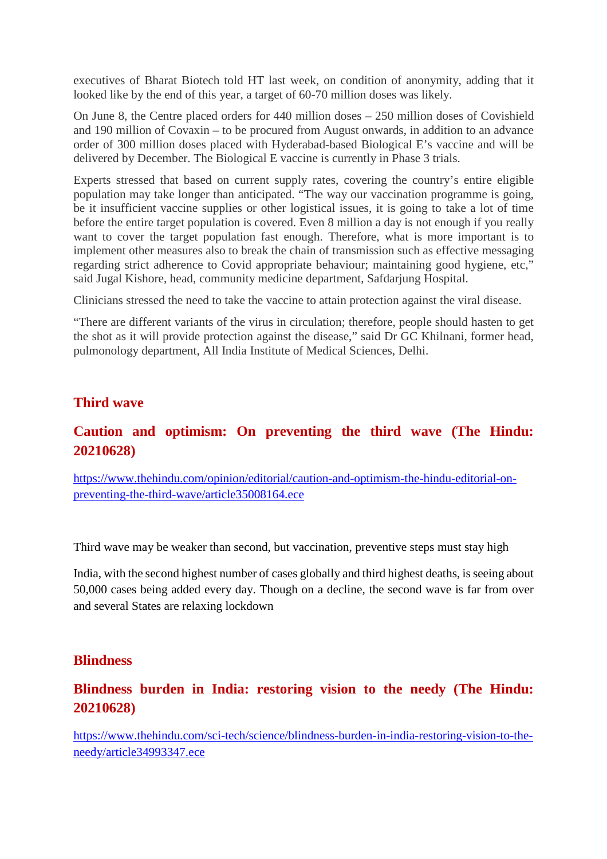executives of Bharat Biotech told HT last week, on condition of anonymity, adding that it looked like by the end of this year, a target of 60-70 million doses was likely.

On June 8, the Centre placed orders for 440 million doses – 250 million doses of Covishield and 190 million of Covaxin – to be procured from August onwards, in addition to an advance order of 300 million doses placed with Hyderabad-based Biological E's vaccine and will be delivered by December. The Biological E vaccine is currently in Phase 3 trials.

Experts stressed that based on current supply rates, covering the country's entire eligible population may take longer than anticipated. "The way our vaccination programme is going, be it insufficient vaccine supplies or other logistical issues, it is going to take a lot of time before the entire target population is covered. Even 8 million a day is not enough if you really want to cover the target population fast enough. Therefore, what is more important is to implement other measures also to break the chain of transmission such as effective messaging regarding strict adherence to Covid appropriate behaviour; maintaining good hygiene, etc," said Jugal Kishore, head, community medicine department, Safdarjung Hospital.

Clinicians stressed the need to take the vaccine to attain protection against the viral disease.

"There are different variants of the virus in circulation; therefore, people should hasten to get the shot as it will provide protection against the disease," said Dr GC Khilnani, former head, pulmonology department, All India Institute of Medical Sciences, Delhi.

#### **Third wave**

#### **Caution and optimism: On preventing the third wave (The Hindu: 20210628)**

https://www.thehindu.com/opinion/editorial/caution-and-optimism-the-hindu-editorial-onpreventing-the-third-wave/article35008164.ece

Third wave may be weaker than second, but vaccination, preventive steps must stay high

India, with the second highest number of cases globally and third highest deaths, is seeing about 50,000 cases being added every day. Though on a decline, the second wave is far from over and several States are relaxing lockdown

#### **Blindness**

#### **Blindness burden in India: restoring vision to the needy (The Hindu: 20210628)**

https://www.thehindu.com/sci-tech/science/blindness-burden-in-india-restoring-vision-to-theneedy/article34993347.ece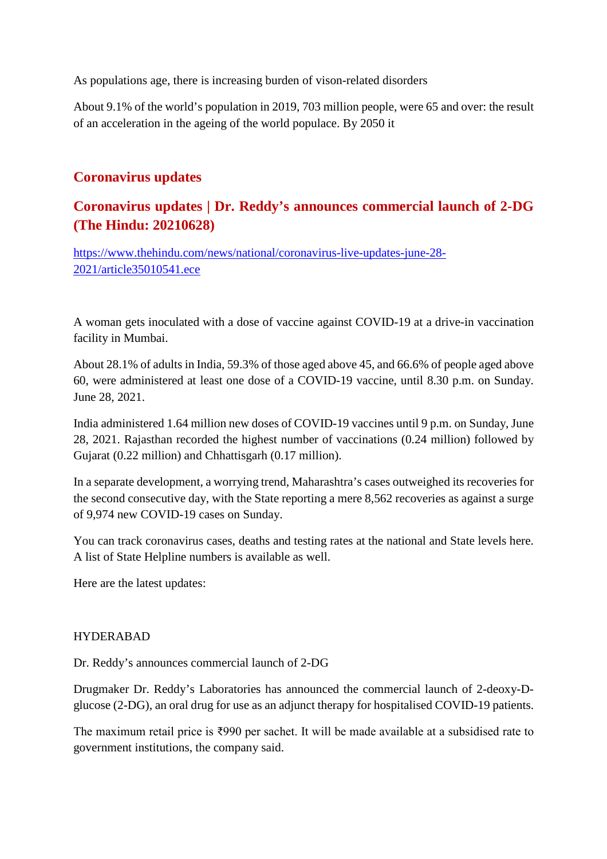As populations age, there is increasing burden of vison-related disorders

About 9.1% of the world's population in 2019, 703 million people, were 65 and over: the result of an acceleration in the ageing of the world populace. By 2050 it

#### **Coronavirus updates**

#### **Coronavirus updates | Dr. Reddy's announces commercial launch of 2-DG (The Hindu: 20210628)**

https://www.thehindu.com/news/national/coronavirus-live-updates-june-28- 2021/article35010541.ece

A woman gets inoculated with a dose of vaccine against COVID-19 at a drive-in vaccination facility in Mumbai.

About 28.1% of adults in India, 59.3% of those aged above 45, and 66.6% of people aged above 60, were administered at least one dose of a COVID-19 vaccine, until 8.30 p.m. on Sunday. June 28, 2021.

India administered 1.64 million new doses of COVID-19 vaccines until 9 p.m. on Sunday, June 28, 2021. Rajasthan recorded the highest number of vaccinations (0.24 million) followed by Gujarat (0.22 million) and Chhattisgarh (0.17 million).

In a separate development, a worrying trend, Maharashtra's cases outweighed its recoveries for the second consecutive day, with the State reporting a mere 8,562 recoveries as against a surge of 9,974 new COVID-19 cases on Sunday.

You can track coronavirus cases, deaths and testing rates at the national and State levels here. A list of State Helpline numbers is available as well.

Here are the latest updates:

#### HYDERABAD

Dr. Reddy's announces commercial launch of 2-DG

Drugmaker Dr. Reddy's Laboratories has announced the commercial launch of 2-deoxy-Dglucose (2-DG), an oral drug for use as an adjunct therapy for hospitalised COVID-19 patients.

The maximum retail price is ₹990 per sachet. It will be made available at a subsidised rate to government institutions, the company said.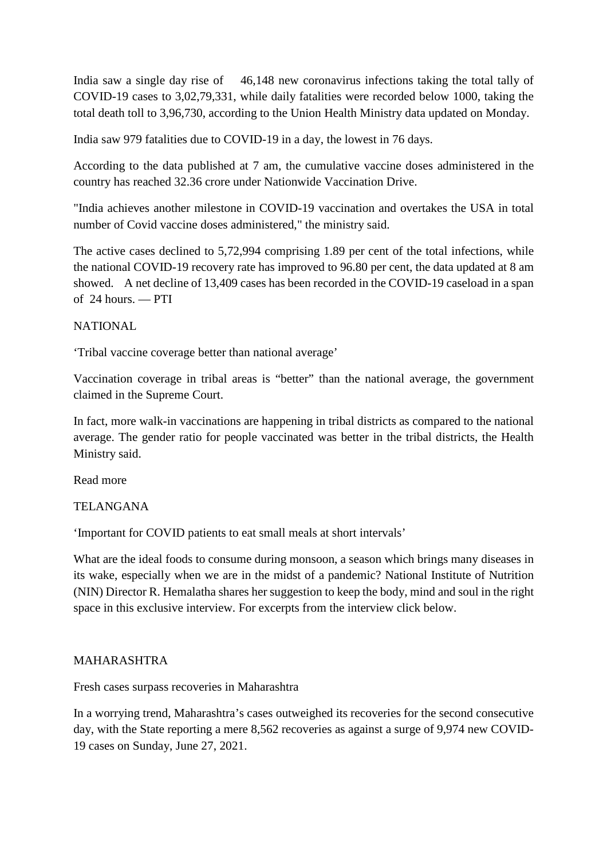India saw a single day rise of 46,148 new coronavirus infections taking the total tally of COVID-19 cases to 3,02,79,331, while daily fatalities were recorded below 1000, taking the total death toll to 3,96,730, according to the Union Health Ministry data updated on Monday.

India saw 979 fatalities due to COVID-19 in a day, the lowest in 76 days.

According to the data published at 7 am, the cumulative vaccine doses administered in the country has reached 32.36 crore under Nationwide Vaccination Drive.

"India achieves another milestone in COVID-19 vaccination and overtakes the USA in total number of Covid vaccine doses administered," the ministry said.

The active cases declined to 5,72,994 comprising 1.89 per cent of the total infections, while the national COVID-19 recovery rate has improved to 96.80 per cent, the data updated at 8 am showed. A net decline of 13,409 cases has been recorded in the COVID-19 caseload in a span of 24 hours. — PTI

#### NATIONAL

'Tribal vaccine coverage better than national average'

Vaccination coverage in tribal areas is "better" than the national average, the government claimed in the Supreme Court.

In fact, more walk-in vaccinations are happening in tribal districts as compared to the national average. The gender ratio for people vaccinated was better in the tribal districts, the Health Ministry said.

Read more

#### TELANGANA

'Important for COVID patients to eat small meals at short intervals'

What are the ideal foods to consume during monsoon, a season which brings many diseases in its wake, especially when we are in the midst of a pandemic? National Institute of Nutrition (NIN) Director R. Hemalatha shares her suggestion to keep the body, mind and soul in the right space in this exclusive interview. For excerpts from the interview click below.

#### MAHARASHTRA

Fresh cases surpass recoveries in Maharashtra

In a worrying trend, Maharashtra's cases outweighed its recoveries for the second consecutive day, with the State reporting a mere 8,562 recoveries as against a surge of 9,974 new COVID-19 cases on Sunday, June 27, 2021.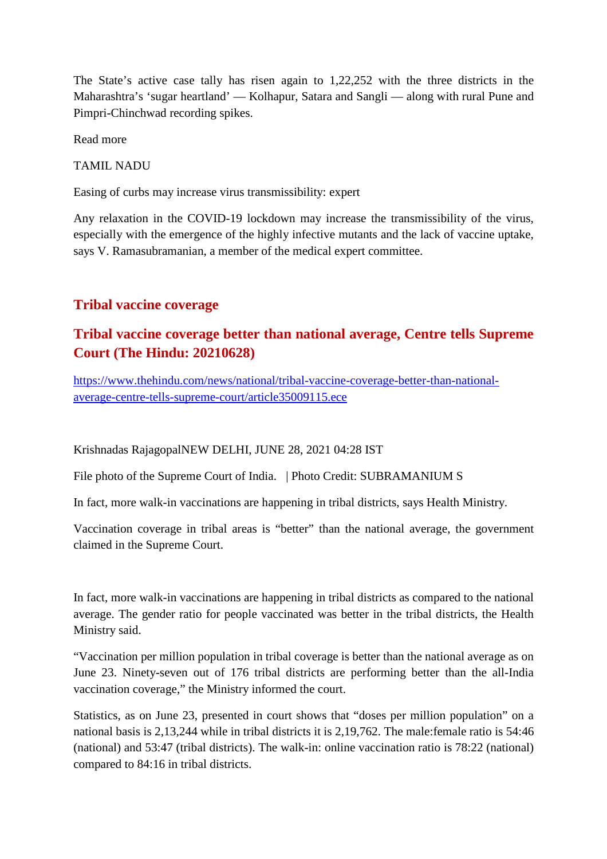The State's active case tally has risen again to 1,22,252 with the three districts in the Maharashtra's 'sugar heartland' — Kolhapur, Satara and Sangli — along with rural Pune and Pimpri-Chinchwad recording spikes.

Read more

TAMIL NADU

Easing of curbs may increase virus transmissibility: expert

Any relaxation in the COVID-19 lockdown may increase the transmissibility of the virus, especially with the emergence of the highly infective mutants and the lack of vaccine uptake, says V. Ramasubramanian, a member of the medical expert committee.

#### **Tribal vaccine coverage**

#### **Tribal vaccine coverage better than national average, Centre tells Supreme Court (The Hindu: 20210628)**

https://www.thehindu.com/news/national/tribal-vaccine-coverage-better-than-nationalaverage-centre-tells-supreme-court/article35009115.ece

Krishnadas RajagopalNEW DELHI, JUNE 28, 2021 04:28 IST

File photo of the Supreme Court of India. | Photo Credit: SUBRAMANIUM S

In fact, more walk-in vaccinations are happening in tribal districts, says Health Ministry.

Vaccination coverage in tribal areas is "better" than the national average, the government claimed in the Supreme Court.

In fact, more walk-in vaccinations are happening in tribal districts as compared to the national average. The gender ratio for people vaccinated was better in the tribal districts, the Health Ministry said.

"Vaccination per million population in tribal coverage is better than the national average as on June 23. Ninety-seven out of 176 tribal districts are performing better than the all-India vaccination coverage," the Ministry informed the court.

Statistics, as on June 23, presented in court shows that "doses per million population" on a national basis is 2,13,244 while in tribal districts it is 2,19,762. The male:female ratio is 54:46 (national) and 53:47 (tribal districts). The walk-in: online vaccination ratio is 78:22 (national) compared to 84:16 in tribal districts.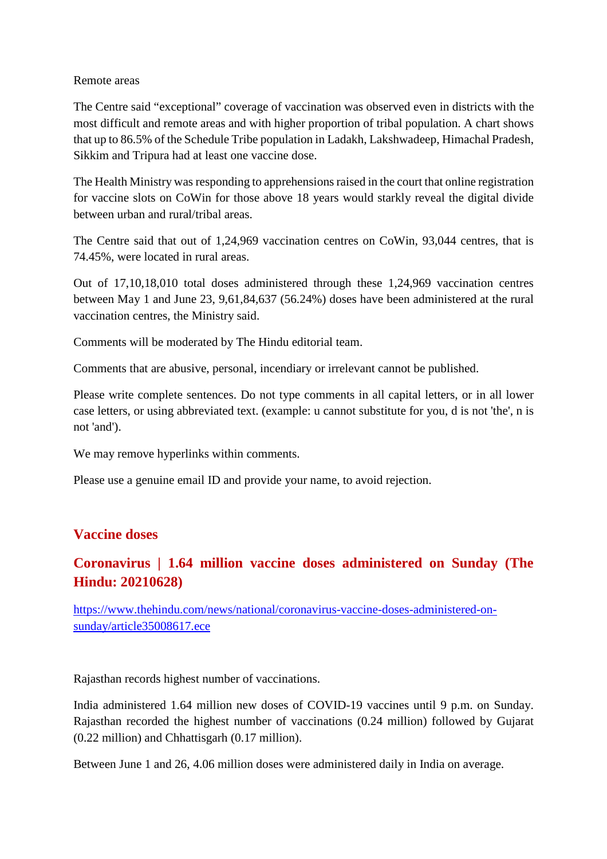#### Remote areas

The Centre said "exceptional" coverage of vaccination was observed even in districts with the most difficult and remote areas and with higher proportion of tribal population. A chart shows that up to 86.5% of the Schedule Tribe population in Ladakh, Lakshwadeep, Himachal Pradesh, Sikkim and Tripura had at least one vaccine dose.

The Health Ministry was responding to apprehensions raised in the court that online registration for vaccine slots on CoWin for those above 18 years would starkly reveal the digital divide between urban and rural/tribal areas.

The Centre said that out of 1,24,969 vaccination centres on CoWin, 93,044 centres, that is 74.45%, were located in rural areas.

Out of 17,10,18,010 total doses administered through these 1,24,969 vaccination centres between May 1 and June 23, 9,61,84,637 (56.24%) doses have been administered at the rural vaccination centres, the Ministry said.

Comments will be moderated by The Hindu editorial team.

Comments that are abusive, personal, incendiary or irrelevant cannot be published.

Please write complete sentences. Do not type comments in all capital letters, or in all lower case letters, or using abbreviated text. (example: u cannot substitute for you, d is not 'the', n is not 'and').

We may remove hyperlinks within comments.

Please use a genuine email ID and provide your name, to avoid rejection.

#### **Vaccine doses**

#### **Coronavirus | 1.64 million vaccine doses administered on Sunday (The Hindu: 20210628)**

https://www.thehindu.com/news/national/coronavirus-vaccine-doses-administered-onsunday/article35008617.ece

Rajasthan records highest number of vaccinations.

India administered 1.64 million new doses of COVID-19 vaccines until 9 p.m. on Sunday. Rajasthan recorded the highest number of vaccinations (0.24 million) followed by Gujarat (0.22 million) and Chhattisgarh (0.17 million).

Between June 1 and 26, 4.06 million doses were administered daily in India on average.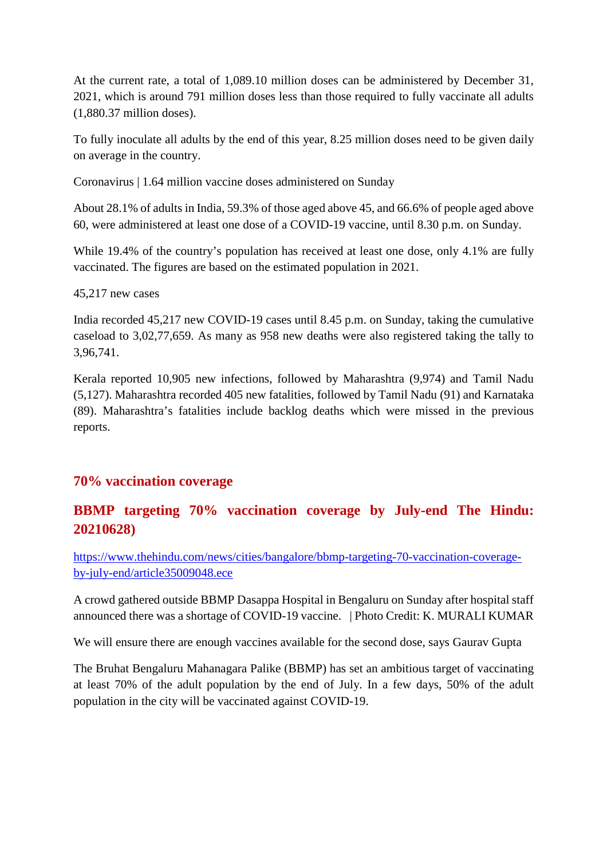At the current rate, a total of 1,089.10 million doses can be administered by December 31, 2021, which is around 791 million doses less than those required to fully vaccinate all adults (1,880.37 million doses).

To fully inoculate all adults by the end of this year, 8.25 million doses need to be given daily on average in the country.

Coronavirus | 1.64 million vaccine doses administered on Sunday

About 28.1% of adults in India, 59.3% of those aged above 45, and 66.6% of people aged above 60, were administered at least one dose of a COVID-19 vaccine, until 8.30 p.m. on Sunday.

While 19.4% of the country's population has received at least one dose, only 4.1% are fully vaccinated. The figures are based on the estimated population in 2021.

45,217 new cases

India recorded 45,217 new COVID-19 cases until 8.45 p.m. on Sunday, taking the cumulative caseload to 3,02,77,659. As many as 958 new deaths were also registered taking the tally to 3,96,741.

Kerala reported 10,905 new infections, followed by Maharashtra (9,974) and Tamil Nadu (5,127). Maharashtra recorded 405 new fatalities, followed by Tamil Nadu (91) and Karnataka (89). Maharashtra's fatalities include backlog deaths which were missed in the previous reports.

#### **70% vaccination coverage**

#### **BBMP targeting 70% vaccination coverage by July-end The Hindu: 20210628)**

https://www.thehindu.com/news/cities/bangalore/bbmp-targeting-70-vaccination-coverageby-july-end/article35009048.ece

A crowd gathered outside BBMP Dasappa Hospital in Bengaluru on Sunday after hospital staff announced there was a shortage of COVID-19 vaccine. | Photo Credit: K. MURALI KUMAR

We will ensure there are enough vaccines available for the second dose, says Gaurav Gupta

The Bruhat Bengaluru Mahanagara Palike (BBMP) has set an ambitious target of vaccinating at least 70% of the adult population by the end of July. In a few days, 50% of the adult population in the city will be vaccinated against COVID-19.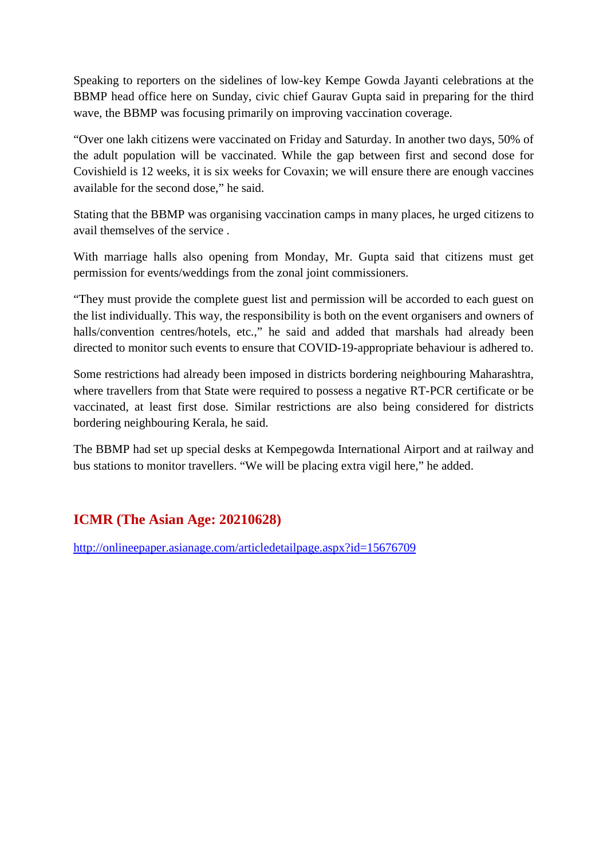Speaking to reporters on the sidelines of low-key Kempe Gowda Jayanti celebrations at the BBMP head office here on Sunday, civic chief Gaurav Gupta said in preparing for the third wave, the BBMP was focusing primarily on improving vaccination coverage.

"Over one lakh citizens were vaccinated on Friday and Saturday. In another two days, 50% of the adult population will be vaccinated. While the gap between first and second dose for Covishield is 12 weeks, it is six weeks for Covaxin; we will ensure there are enough vaccines available for the second dose," he said.

Stating that the BBMP was organising vaccination camps in many places, he urged citizens to avail themselves of the service .

With marriage halls also opening from Monday, Mr. Gupta said that citizens must get permission for events/weddings from the zonal joint commissioners.

"They must provide the complete guest list and permission will be accorded to each guest on the list individually. This way, the responsibility is both on the event organisers and owners of halls/convention centres/hotels, etc.," he said and added that marshals had already been directed to monitor such events to ensure that COVID-19-appropriate behaviour is adhered to.

Some restrictions had already been imposed in districts bordering neighbouring Maharashtra, where travellers from that State were required to possess a negative RT-PCR certificate or be vaccinated, at least first dose. Similar restrictions are also being considered for districts bordering neighbouring Kerala, he said.

The BBMP had set up special desks at Kempegowda International Airport and at railway and bus stations to monitor travellers. "We will be placing extra vigil here," he added.

#### **ICMR (The Asian Age: 20210628)**

http://onlineepaper.asianage.com/articledetailpage.aspx?id=15676709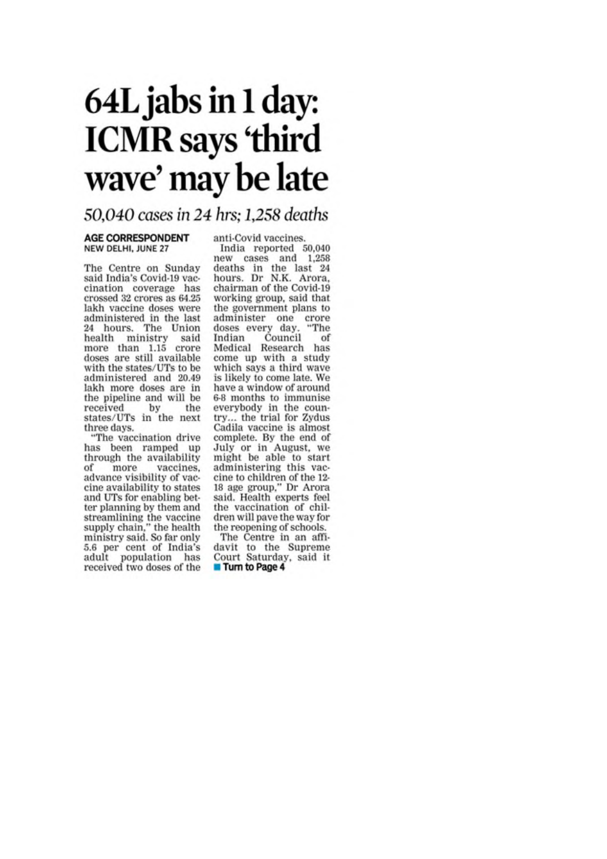# 64L jabs in 1 day: **ICMR** says 'third wave' may be late

#### 50,040 cases in 24 hrs; 1,258 deaths

#### **AGE CORRESPONDENT** NEW DELHI, JUNE 27

The Centre on Sunday said India's Covid-19 vaccination coverage has crossed 32 crores as 64.25 lakh vaccine doses were administered in the last 24 hours. The Union health ministry said<br>more than 1.15 crore doses are still available with the states/UTs to be administered and 20.49 lakh more doses are in the pipeline and will be received by the states/UTs in the next three days.

"The vaccination drive has been ramped up through the availability of vaccines. more advance visibility of vaccine availability to states and UTs for enabling better planning by them and streamlining the vaccine<br>supply chain," the health<br>ministry said. So far only 5.6 per cent of India's adult population has received two doses of the anti-Covid vaccines.

 $\begin{tabular}{c} India reported & 50,040\\ new cases & and & 1,258 \end{tabular}$ deaths in the last 24<br>hours. Dr N.K. Arora, chairman of the Covid-19 working group, said that the government plans to administer one crore<br>doses every day. "The Indian Council of Medical Research has come up with a study which says a third wave is likely to come late. We have a window of around 6-8 months to immunise everybody in the country... the trial for Zydus Cadila vaccine is almost complete. By the end of July or in August, we might be able to start administering this vaccine to children of the 12-18 age group," Dr Arora said. Health experts feel the vaccination of children will pave the way for the reopening of schools.

The Centre in an affidavit to the Supreme Court Saturday, said it Turn to Page 4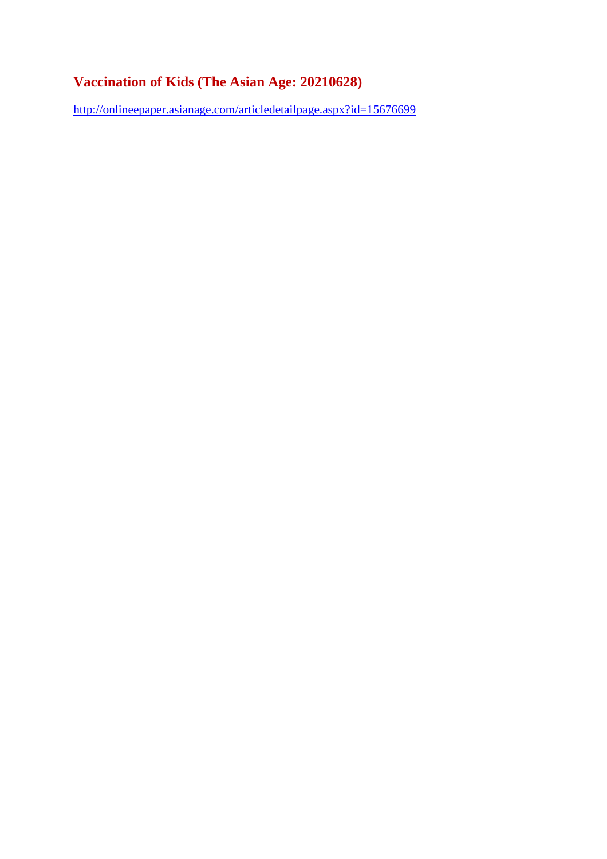#### **Vaccination of Kids (The Asian Age: 20210628)**

http://onlineepaper.asianage.com/articledetailpage.aspx?id=15676699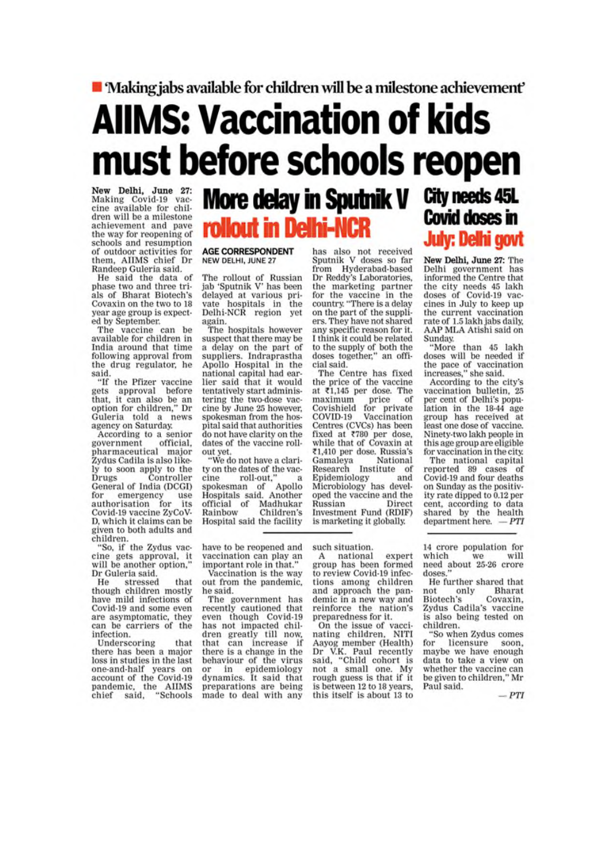#### ■ Making jabs available for children will be a milestone achievement'

# **AllMS: Vaccination of kids** must before schools reopen

New Delhi, June 27:<br>Making Covid-19 vaccine available for children will be a milestone achievement and pave the way for reopening of schools and resumption of outdoor activities for them, AIIMS chief Dr Randeep Guleria said.

He said the data of phase two and three trials of Bharat Biotech's Covaxin on the two to 18 year age group is expected by September.

The vaccine can be available for children in India around that time following approval from the drug regulator, he

said.<br>"If the Pfizer vaccine gets approval before that, it can also be an<br>option for children," Dr Guleria told a news agency on Saturday.

According to a senior government official. pharmaceutical major Zydus Cadila is also likely to soon apply to the **Drugs** Controller General of India (DCGI) for emergency use<br>authorisation for its emergency Covid-19 vaccine ZyCoV-D, which it claims can be given to both adults and children.

"So, if the Zydus vaccine gets approval, it<br>will be another option," Dr Guleria said.

that He stressed though children mostly have mild infections of Covid-19 and some even are asymptomatic, they can be carriers of the infection.

Underscoring that there has been a major loss in studies in the last one-and-half years on account of the Covid-19 pandemic, the AIIMS<br>chief said, "Schools

## More delay in Sputnik V rollout in Delhi-NCR

#### **AGE CORRESPONDENT** NEW DELHI, JUNE 27

The rollout of Russian<br>jab 'Sputnik V' has been delayed at various private hospitals in the Delhi-NCR region yet again.

The hospitals however suspect that there may be a delay on the part of suppliers. Indraprastha Apollo Hospital in the national capital had earlier said that it would tentatively start administering the two-dose vaccine by June 25 however, spokesman from the hospital said that authorities do not have clarity on the dates of the vaccine rollout yet.

"We do not have a clarity on the dates of the vaccine roll-out.' spokesman of Apollo<br>Hospitals said, Another official of Madhukar<br>Rainbow Children's Children's Hospital said the facility

important role in that."

Vaccination is the way

out from the pandemic,

The government has<br>recently cautioned that

even though Covid-19

has not impacted chil-

dren greatly till now, that can increase if

there is a change in the

behaviour of the virus

or in epidemiology<br>dynamics. It said that

preparations are being

made to deal with any

he said.

has also not received<br>Sputnik V doses so far from Hyderabad-based<br>Dr Reddy's Laboratories, the marketing partner<br>for the vaccine in the<br>country. "There is a delay on the part of the suppliers. They have not shared any specific reason for it. I think it could be related to the supply of both the doses together," an official said.

The Centre has fixed<br>the price of the vaccine at ₹1,145 per dose. The maximum price of Covishield for private COVID-19 Vaccination Centres (CVCs) has been fixed at ₹780 per dose,<br>while that of Covaxin at ₹1,410 per dose. Russia's Gamaleya National<br>Research Institute of Epidemiology and<br>Microbiology has developed the vaccine and the Russian Direct Investment Fund (RDIF) is marketing it globally.

## City needs 45L **Covid doses in July: Delhi govt**

New Delhi, June 27: The Delhi government has informed the Centre that the city needs 45 lakh<br>doses of Covid-19 vaccines in July to keep up the current vaccination rate of 1.5 lakh jabs daily,<br>AAP MLA Atishi said on **Sunday**.

"More than 45 lakh doses will be needed if the pace of vaccination<br>increases," she said.

According to the city's vaccination bulletin, 25<br>per cent of Delhi's population in the 18-44 age group has received at least one dose of vaccine. Ninety-two lakh people in this age group are eligible for vaccination in the city.

The national capital reported 89 cases of Covid-19 and four deaths on Sunday as the positivity rate dipped to 0.12 per cent, according to data shared by the health department here.  $-PTI$ 

have to be reopened and such situation. vaccination can play an

national expert  $\mathbf{A}$ group has been formed to review Covid-19 infections among children<br>and approach the pandemic in a new way and reinforce the nation's preparedness for it.

On the issue of vacci-<br>nating children, NITI Aayog member (Health) Dr V.K. Paul recently<br>said, "Child cohort is not a small one. My rough guess is that if it is between 12 to 18 years, this itself is about 13 to

14 crore population for which will we need about 25-26 crore doses.

He further shared that not only<br>Biotech's **Bharat** Covaxin, Zydus Cadila's vaccine is also being tested on children.

"So when Zydus comes for licensure soon. maybe we have enough data to take a view on whether the vaccine can be given to children," Mr Paul said.

 $-PTI$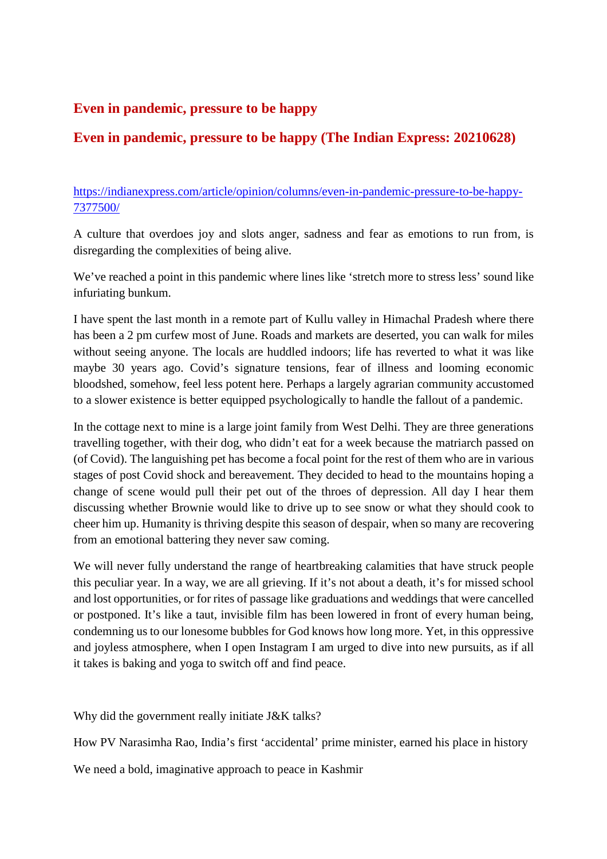#### **Even in pandemic, pressure to be happy**

#### **Even in pandemic, pressure to be happy (The Indian Express: 20210628)**

https://indianexpress.com/article/opinion/columns/even-in-pandemic-pressure-to-be-happy-7377500/

A culture that overdoes joy and slots anger, sadness and fear as emotions to run from, is disregarding the complexities of being alive.

We've reached a point in this pandemic where lines like 'stretch more to stress less' sound like infuriating bunkum.

I have spent the last month in a remote part of Kullu valley in Himachal Pradesh where there has been a 2 pm curfew most of June. Roads and markets are deserted, you can walk for miles without seeing anyone. The locals are huddled indoors; life has reverted to what it was like maybe 30 years ago. Covid's signature tensions, fear of illness and looming economic bloodshed, somehow, feel less potent here. Perhaps a largely agrarian community accustomed to a slower existence is better equipped psychologically to handle the fallout of a pandemic.

In the cottage next to mine is a large joint family from West Delhi. They are three generations travelling together, with their dog, who didn't eat for a week because the matriarch passed on (of Covid). The languishing pet has become a focal point for the rest of them who are in various stages of post Covid shock and bereavement. They decided to head to the mountains hoping a change of scene would pull their pet out of the throes of depression. All day I hear them discussing whether Brownie would like to drive up to see snow or what they should cook to cheer him up. Humanity is thriving despite this season of despair, when so many are recovering from an emotional battering they never saw coming.

We will never fully understand the range of heartbreaking calamities that have struck people this peculiar year. In a way, we are all grieving. If it's not about a death, it's for missed school and lost opportunities, or for rites of passage like graduations and weddings that were cancelled or postponed. It's like a taut, invisible film has been lowered in front of every human being, condemning us to our lonesome bubbles for God knows how long more. Yet, in this oppressive and joyless atmosphere, when I open Instagram I am urged to dive into new pursuits, as if all it takes is baking and yoga to switch off and find peace.

Why did the government really initiate J&K talks?

How PV Narasimha Rao, India's first 'accidental' prime minister, earned his place in history

We need a bold, imaginative approach to peace in Kashmir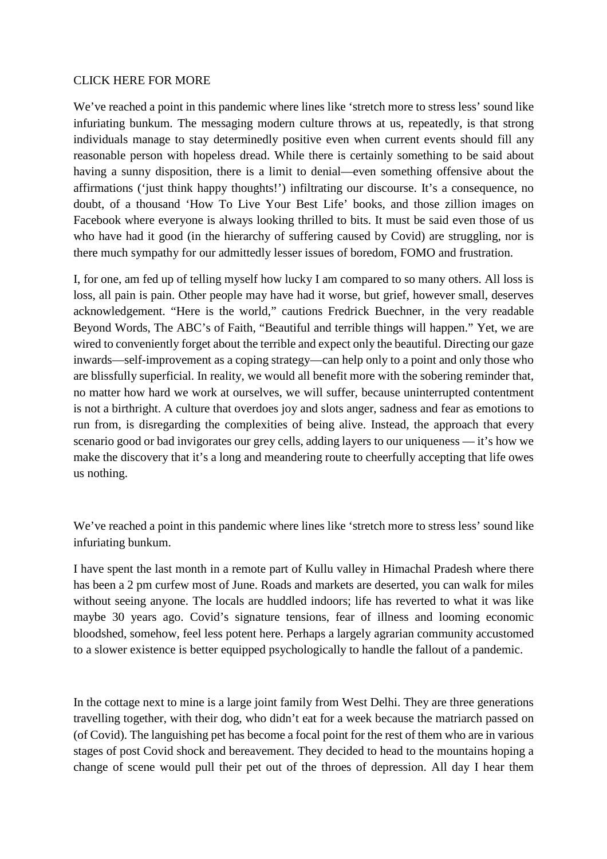#### CLICK HERE FOR MORE

We've reached a point in this pandemic where lines like 'stretch more to stress less' sound like infuriating bunkum. The messaging modern culture throws at us, repeatedly, is that strong individuals manage to stay determinedly positive even when current events should fill any reasonable person with hopeless dread. While there is certainly something to be said about having a sunny disposition, there is a limit to denial—even something offensive about the affirmations ('just think happy thoughts!') infiltrating our discourse. It's a consequence, no doubt, of a thousand 'How To Live Your Best Life' books, and those zillion images on Facebook where everyone is always looking thrilled to bits. It must be said even those of us who have had it good (in the hierarchy of suffering caused by Covid) are struggling, nor is there much sympathy for our admittedly lesser issues of boredom, FOMO and frustration.

I, for one, am fed up of telling myself how lucky I am compared to so many others. All loss is loss, all pain is pain. Other people may have had it worse, but grief, however small, deserves acknowledgement. "Here is the world," cautions Fredrick Buechner, in the very readable Beyond Words, The ABC's of Faith, "Beautiful and terrible things will happen." Yet, we are wired to conveniently forget about the terrible and expect only the beautiful. Directing our gaze inwards—self-improvement as a coping strategy—can help only to a point and only those who are blissfully superficial. In reality, we would all benefit more with the sobering reminder that, no matter how hard we work at ourselves, we will suffer, because uninterrupted contentment is not a birthright. A culture that overdoes joy and slots anger, sadness and fear as emotions to run from, is disregarding the complexities of being alive. Instead, the approach that every scenario good or bad invigorates our grey cells, adding layers to our uniqueness — it's how we make the discovery that it's a long and meandering route to cheerfully accepting that life owes us nothing.

We've reached a point in this pandemic where lines like 'stretch more to stress less' sound like infuriating bunkum.

I have spent the last month in a remote part of Kullu valley in Himachal Pradesh where there has been a 2 pm curfew most of June. Roads and markets are deserted, you can walk for miles without seeing anyone. The locals are huddled indoors; life has reverted to what it was like maybe 30 years ago. Covid's signature tensions, fear of illness and looming economic bloodshed, somehow, feel less potent here. Perhaps a largely agrarian community accustomed to a slower existence is better equipped psychologically to handle the fallout of a pandemic.

In the cottage next to mine is a large joint family from West Delhi. They are three generations travelling together, with their dog, who didn't eat for a week because the matriarch passed on (of Covid). The languishing pet has become a focal point for the rest of them who are in various stages of post Covid shock and bereavement. They decided to head to the mountains hoping a change of scene would pull their pet out of the throes of depression. All day I hear them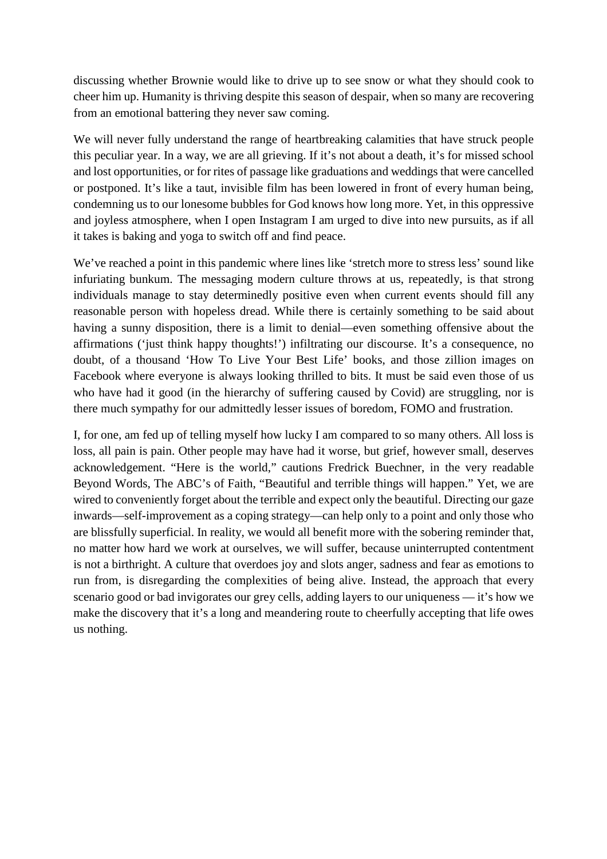discussing whether Brownie would like to drive up to see snow or what they should cook to cheer him up. Humanity is thriving despite this season of despair, when so many are recovering from an emotional battering they never saw coming.

We will never fully understand the range of heartbreaking calamities that have struck people this peculiar year. In a way, we are all grieving. If it's not about a death, it's for missed school and lost opportunities, or for rites of passage like graduations and weddings that were cancelled or postponed. It's like a taut, invisible film has been lowered in front of every human being, condemning us to our lonesome bubbles for God knows how long more. Yet, in this oppressive and joyless atmosphere, when I open Instagram I am urged to dive into new pursuits, as if all it takes is baking and yoga to switch off and find peace.

We've reached a point in this pandemic where lines like 'stretch more to stress less' sound like infuriating bunkum. The messaging modern culture throws at us, repeatedly, is that strong individuals manage to stay determinedly positive even when current events should fill any reasonable person with hopeless dread. While there is certainly something to be said about having a sunny disposition, there is a limit to denial—even something offensive about the affirmations ('just think happy thoughts!') infiltrating our discourse. It's a consequence, no doubt, of a thousand 'How To Live Your Best Life' books, and those zillion images on Facebook where everyone is always looking thrilled to bits. It must be said even those of us who have had it good (in the hierarchy of suffering caused by Covid) are struggling, nor is there much sympathy for our admittedly lesser issues of boredom, FOMO and frustration.

I, for one, am fed up of telling myself how lucky I am compared to so many others. All loss is loss, all pain is pain. Other people may have had it worse, but grief, however small, deserves acknowledgement. "Here is the world," cautions Fredrick Buechner, in the very readable Beyond Words, The ABC's of Faith, "Beautiful and terrible things will happen." Yet, we are wired to conveniently forget about the terrible and expect only the beautiful. Directing our gaze inwards—self-improvement as a coping strategy—can help only to a point and only those who are blissfully superficial. In reality, we would all benefit more with the sobering reminder that, no matter how hard we work at ourselves, we will suffer, because uninterrupted contentment is not a birthright. A culture that overdoes joy and slots anger, sadness and fear as emotions to run from, is disregarding the complexities of being alive. Instead, the approach that every scenario good or bad invigorates our grey cells, adding layers to our uniqueness — it's how we make the discovery that it's a long and meandering route to cheerfully accepting that life owes us nothing.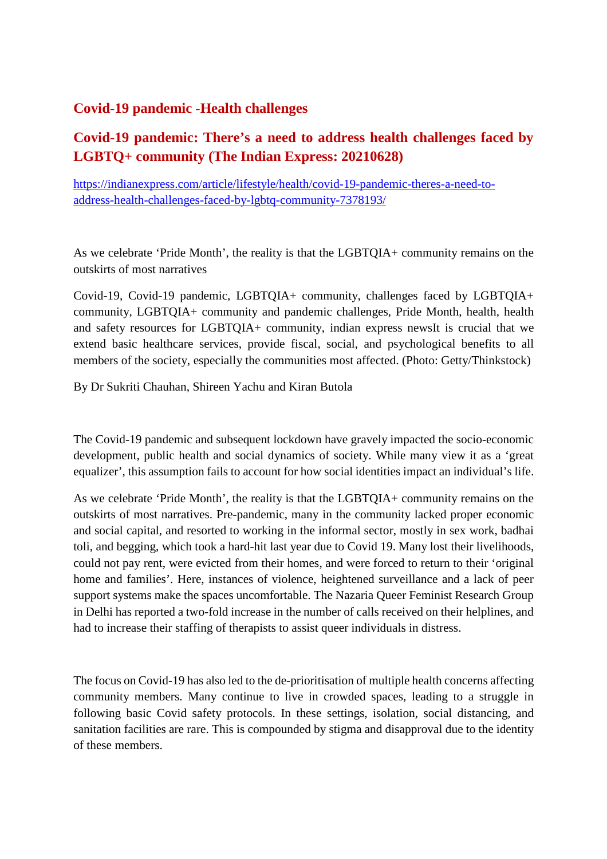#### **Covid-19 pandemic -Health challenges**

#### **Covid-19 pandemic: There's a need to address health challenges faced by LGBTQ+ community (The Indian Express: 20210628)**

https://indianexpress.com/article/lifestyle/health/covid-19-pandemic-theres-a-need-toaddress-health-challenges-faced-by-lgbtq-community-7378193/

As we celebrate 'Pride Month', the reality is that the LGBTQIA+ community remains on the outskirts of most narratives

Covid-19, Covid-19 pandemic, LGBTQIA+ community, challenges faced by LGBTQIA+ community, LGBTQIA+ community and pandemic challenges, Pride Month, health, health and safety resources for LGBTQIA+ community, indian express newsIt is crucial that we extend basic healthcare services, provide fiscal, social, and psychological benefits to all members of the society, especially the communities most affected. (Photo: Getty/Thinkstock)

By Dr Sukriti Chauhan, Shireen Yachu and Kiran Butola

The Covid-19 pandemic and subsequent lockdown have gravely impacted the socio-economic development, public health and social dynamics of society. While many view it as a 'great equalizer', this assumption fails to account for how social identities impact an individual's life.

As we celebrate 'Pride Month', the reality is that the LGBTQIA+ community remains on the outskirts of most narratives. Pre-pandemic, many in the community lacked proper economic and social capital, and resorted to working in the informal sector, mostly in sex work, badhai toli, and begging, which took a hard-hit last year due to Covid 19. Many lost their livelihoods, could not pay rent, were evicted from their homes, and were forced to return to their 'original home and families'. Here, instances of violence, heightened surveillance and a lack of peer support systems make the spaces uncomfortable. The Nazaria Queer Feminist Research Group in Delhi has reported a two-fold increase in the number of calls received on their helplines, and had to increase their staffing of therapists to assist queer individuals in distress.

The focus on Covid-19 has also led to the de-prioritisation of multiple health concerns affecting community members. Many continue to live in crowded spaces, leading to a struggle in following basic Covid safety protocols. In these settings, isolation, social distancing, and sanitation facilities are rare. This is compounded by stigma and disapproval due to the identity of these members.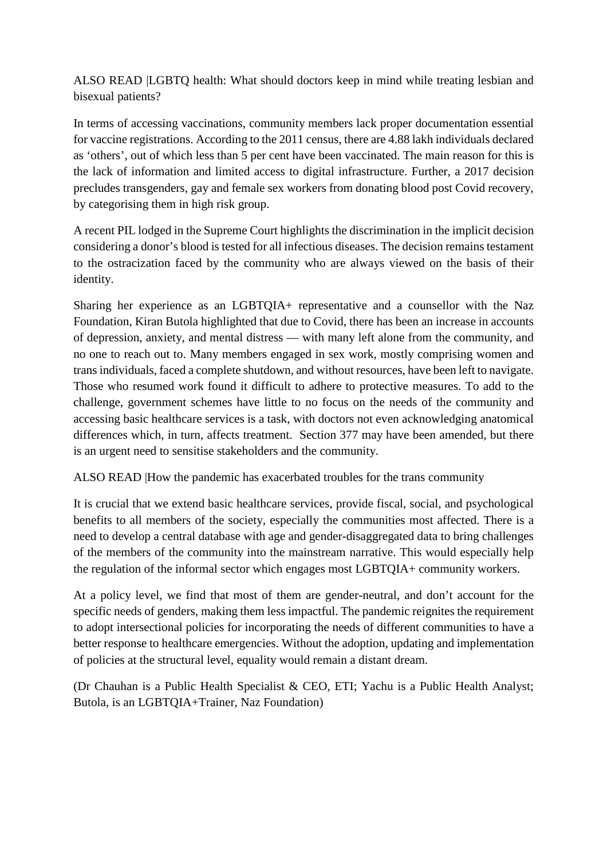ALSO READ |LGBTQ health: What should doctors keep in mind while treating lesbian and bisexual patients?

In terms of accessing vaccinations, community members lack proper documentation essential for vaccine registrations. According to the 2011 census, there are 4.88 lakh individuals declared as 'others', out of which less than 5 per cent have been vaccinated. The main reason for this is the lack of information and limited access to digital infrastructure. Further, a 2017 decision precludes transgenders, gay and female sex workers from donating blood post Covid recovery, by categorising them in high risk group.

A recent PIL lodged in the Supreme Court highlights the discrimination in the implicit decision considering a donor's blood is tested for all infectious diseases. The decision remains testament to the ostracization faced by the community who are always viewed on the basis of their identity.

Sharing her experience as an LGBTQIA+ representative and a counsellor with the Naz Foundation, Kiran Butola highlighted that due to Covid, there has been an increase in accounts of depression, anxiety, and mental distress — with many left alone from the community, and no one to reach out to. Many members engaged in sex work, mostly comprising women and trans individuals, faced a complete shutdown, and without resources, have been left to navigate. Those who resumed work found it difficult to adhere to protective measures. To add to the challenge, government schemes have little to no focus on the needs of the community and accessing basic healthcare services is a task, with doctors not even acknowledging anatomical differences which, in turn, affects treatment. Section 377 may have been amended, but there is an urgent need to sensitise stakeholders and the community.

ALSO READ |How the pandemic has exacerbated troubles for the trans community

It is crucial that we extend basic healthcare services, provide fiscal, social, and psychological benefits to all members of the society, especially the communities most affected. There is a need to develop a central database with age and gender-disaggregated data to bring challenges of the members of the community into the mainstream narrative. This would especially help the regulation of the informal sector which engages most LGBTQIA+ community workers.

At a policy level, we find that most of them are gender-neutral, and don't account for the specific needs of genders, making them less impactful. The pandemic reignites the requirement to adopt intersectional policies for incorporating the needs of different communities to have a better response to healthcare emergencies. Without the adoption, updating and implementation of policies at the structural level, equality would remain a distant dream.

(Dr Chauhan is a Public Health Specialist & CEO, ETI; Yachu is a Public Health Analyst; Butola, is an LGBTQIA+Trainer, Naz Foundation)